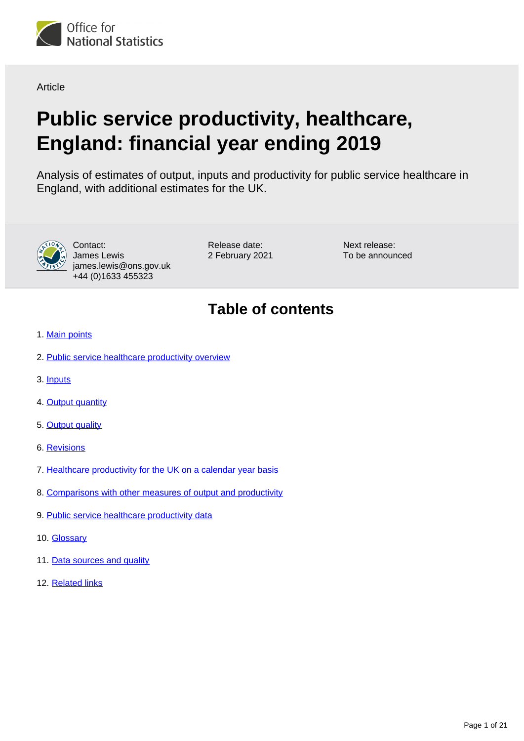

**Article** 

# **Public service productivity, healthcare, England: financial year ending 2019**

Analysis of estimates of output, inputs and productivity for public service healthcare in England, with additional estimates for the UK.



Contact: James Lewis james.lewis@ons.gov.uk +44 (0)1633 455323

Release date: 2 February 2021 Next release: To be announced

# **Table of contents**

- 1. [Main points](#page-1-0)
- 2. [Public service healthcare productivity overview](#page-1-1)
- 3. [Inputs](#page-3-0)
- 4. [Output quantity](#page-6-0)
- 5. [Output quality](#page-10-0)
- 6. [Revisions](#page-12-0)
- 7. [Healthcare productivity for the UK on a calendar year basis](#page-16-0)
- 8. [Comparisons with other measures of output and productivity](#page-17-0)
- 9. [Public service healthcare productivity data](#page-19-0)
- 10. [Glossary](#page-19-1)
- 11. [Data sources and quality](#page-19-2)
- 12. [Related links](#page-20-0)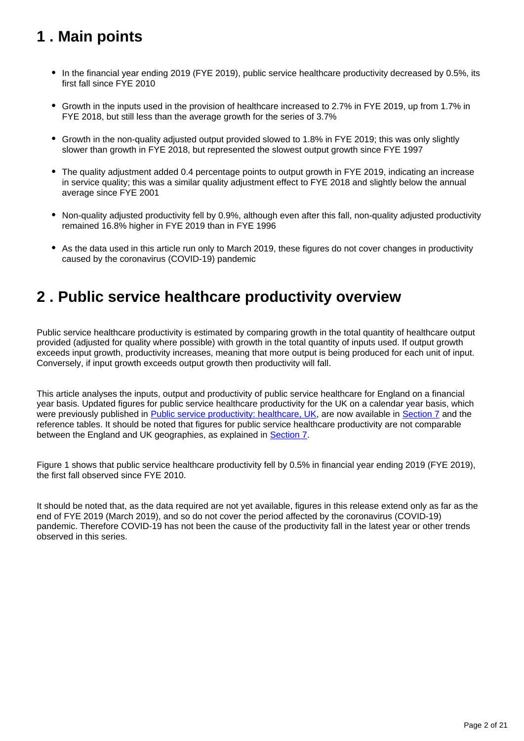# <span id="page-1-0"></span>**1 . Main points**

- In the financial year ending 2019 (FYE 2019), public service healthcare productivity decreased by 0.5%, its first fall since FYE 2010
- Growth in the inputs used in the provision of healthcare increased to 2.7% in FYE 2019, up from 1.7% in FYE 2018, but still less than the average growth for the series of 3.7%
- Growth in the non-quality adjusted output provided slowed to 1.8% in FYE 2019; this was only slightly slower than growth in FYE 2018, but represented the slowest output growth since FYE 1997
- The quality adjustment added 0.4 percentage points to output growth in FYE 2019, indicating an increase in service quality; this was a similar quality adjustment effect to FYE 2018 and slightly below the annual average since FYE 2001
- Non-quality adjusted productivity fell by 0.9%, although even after this fall, non-quality adjusted productivity remained 16.8% higher in FYE 2019 than in FYE 1996
- As the data used in this article run only to March 2019, these figures do not cover changes in productivity caused by the coronavirus (COVID-19) pandemic

# <span id="page-1-1"></span>**2 . Public service healthcare productivity overview**

Public service healthcare productivity is estimated by comparing growth in the total quantity of healthcare output provided (adjusted for quality where possible) with growth in the total quantity of inputs used. If output growth exceeds input growth, productivity increases, meaning that more output is being produced for each unit of input. Conversely, if input growth exceeds output growth then productivity will fall.

This article analyses the inputs, output and productivity of public service healthcare for England on a financial year basis. Updated figures for public service healthcare productivity for the UK on a calendar year basis, which were previously published in [Public service productivity: healthcare, UK,](https://www.ons.gov.uk/economy/economicoutputandproductivity/publicservicesproductivity/articles/publicservicesproductivityestimateshealthcare/2017) are now available in [Section 7](https://www.ons.gov.uk/economy/economicoutputandproductivity/publicservicesproductivity/articles/publicservicesproductivityestimateshealthcare/financialyearending2019#healthcare-productivity-for-the-uk-on-a-calendar-year-basis) and the reference tables. It should be noted that figures for public service healthcare productivity are not comparable between the England and UK geographies, as explained in [Section 7](https://www.ons.gov.uk/economy/economicoutputandproductivity/publicservicesproductivity/articles/publicservicesproductivityestimateshealthcare/financialyearending2019#healthcare-productivity-for-the-uk-on-a-calendar-year-basis).

Figure 1 shows that public service healthcare productivity fell by 0.5% in financial year ending 2019 (FYE 2019), the first fall observed since FYE 2010.

It should be noted that, as the data required are not yet available, figures in this release extend only as far as the end of FYE 2019 (March 2019), and so do not cover the period affected by the coronavirus (COVID-19) pandemic. Therefore COVID-19 has not been the cause of the productivity fall in the latest year or other trends observed in this series.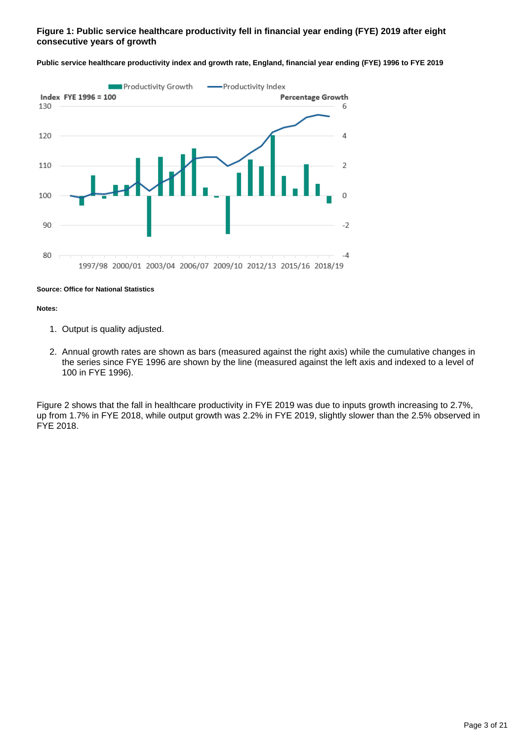## **Figure 1: Public service healthcare productivity fell in financial year ending (FYE) 2019 after eight consecutive years of growth**



**Public service healthcare productivity index and growth rate, England, financial year ending (FYE) 1996 to FYE 2019**

#### **Source: Office for National Statistics**

#### **Notes:**

- 1. Output is quality adjusted.
- 2. Annual growth rates are shown as bars (measured against the right axis) while the cumulative changes in the series since FYE 1996 are shown by the line (measured against the left axis and indexed to a level of 100 in FYE 1996).

Figure 2 shows that the fall in healthcare productivity in FYE 2019 was due to inputs growth increasing to 2.7%, up from 1.7% in FYE 2018, while output growth was 2.2% in FYE 2019, slightly slower than the 2.5% observed in FYE 2018.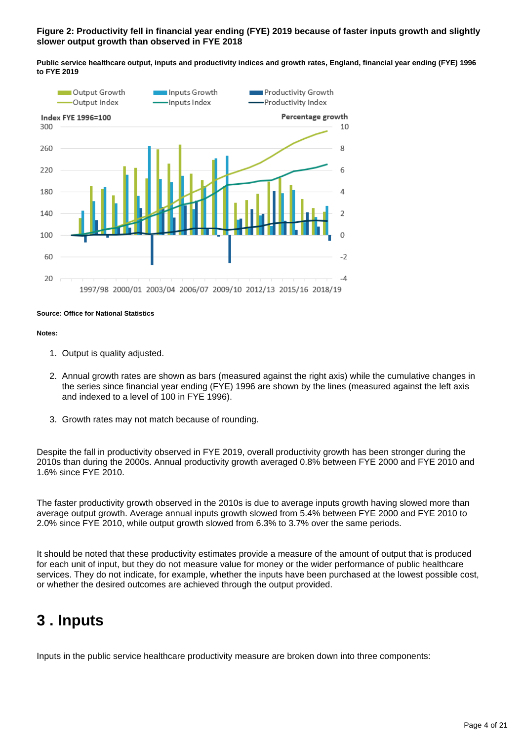## **Figure 2: Productivity fell in financial year ending (FYE) 2019 because of faster inputs growth and slightly slower output growth than observed in FYE 2018**

**Public service healthcare output, inputs and productivity indices and growth rates, England, financial year ending (FYE) 1996 to FYE 2019**



## **Source: Office for National Statistics**

#### **Notes:**

- 1. Output is quality adjusted.
- 2. Annual growth rates are shown as bars (measured against the right axis) while the cumulative changes in the series since financial year ending (FYE) 1996 are shown by the lines (measured against the left axis and indexed to a level of 100 in FYE 1996).
- 3. Growth rates may not match because of rounding.

Despite the fall in productivity observed in FYE 2019, overall productivity growth has been stronger during the 2010s than during the 2000s. Annual productivity growth averaged 0.8% between FYE 2000 and FYE 2010 and 1.6% since FYE 2010.

The faster productivity growth observed in the 2010s is due to average inputs growth having slowed more than average output growth. Average annual inputs growth slowed from 5.4% between FYE 2000 and FYE 2010 to 2.0% since FYE 2010, while output growth slowed from 6.3% to 3.7% over the same periods.

It should be noted that these productivity estimates provide a measure of the amount of output that is produced for each unit of input, but they do not measure value for money or the wider performance of public healthcare services. They do not indicate, for example, whether the inputs have been purchased at the lowest possible cost, or whether the desired outcomes are achieved through the output provided.

## <span id="page-3-0"></span>**3 . Inputs**

Inputs in the public service healthcare productivity measure are broken down into three components: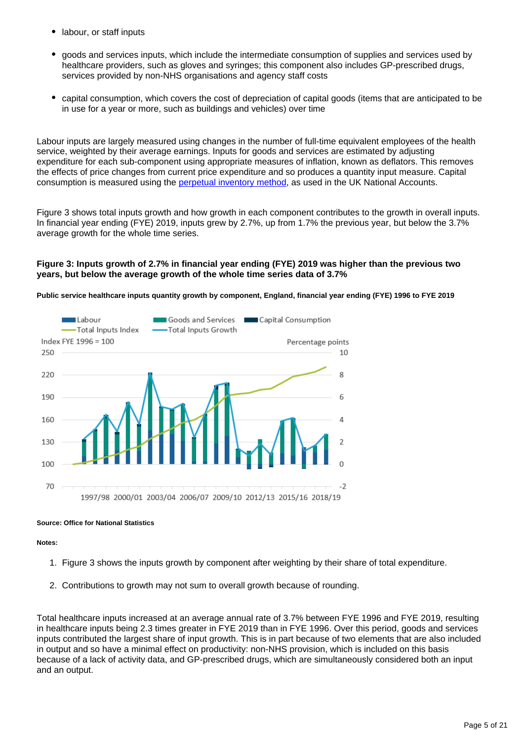- labour, or staff inputs
- goods and services inputs, which include the intermediate consumption of supplies and services used by healthcare providers, such as gloves and syringes; this component also includes GP-prescribed drugs, services provided by non-NHS organisations and agency staff costs
- capital consumption, which covers the cost of depreciation of capital goods (items that are anticipated to be in use for a year or more, such as buildings and vehicles) over time

Labour inputs are largely measured using changes in the number of full-time equivalent employees of the health service, weighted by their average earnings. Inputs for goods and services are estimated by adjusting expenditure for each sub-component using appropriate measures of inflation, known as deflators. This removes the effects of price changes from current price expenditure and so produces a quantity input measure. Capital consumption is measured using the [perpetual inventory method](https://www.ons.gov.uk/economy/nationalaccounts/uksectoraccounts/qmis/capitalstocksandcapitalconsumptionqmi), as used in the UK National Accounts.

Figure 3 shows total inputs growth and how growth in each component contributes to the growth in overall inputs. In financial year ending (FYE) 2019, inputs grew by 2.7%, up from 1.7% the previous year, but below the 3.7% average growth for the whole time series.

## **Figure 3: Inputs growth of 2.7% in financial year ending (FYE) 2019 was higher than the previous two years, but below the average growth of the whole time series data of 3.7%**

**Public service healthcare inputs quantity growth by component, England, financial year ending (FYE) 1996 to FYE 2019**



## **Source: Office for National Statistics**

## **Notes:**

- 1. Figure 3 shows the inputs growth by component after weighting by their share of total expenditure.
- 2. Contributions to growth may not sum to overall growth because of rounding.

Total healthcare inputs increased at an average annual rate of 3.7% between FYE 1996 and FYE 2019, resulting in healthcare inputs being 2.3 times greater in FYE 2019 than in FYE 1996. Over this period, goods and services inputs contributed the largest share of input growth. This is in part because of two elements that are also included in output and so have a minimal effect on productivity: non-NHS provision, which is included on this basis because of a lack of activity data, and GP-prescribed drugs, which are simultaneously considered both an input and an output.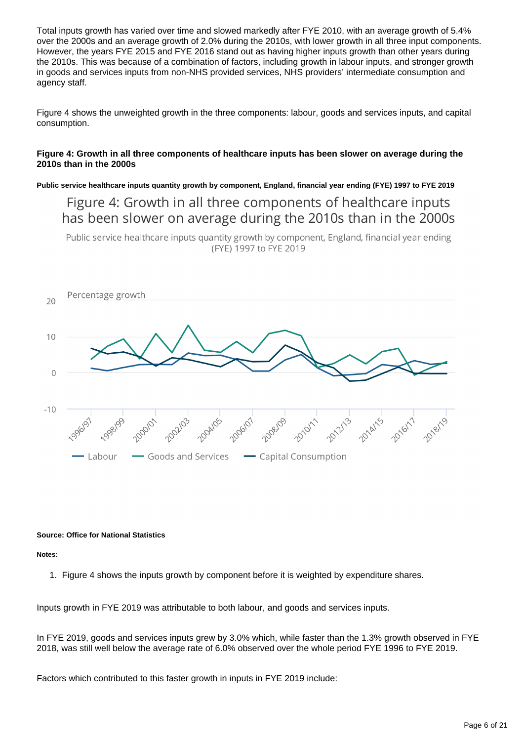Total inputs growth has varied over time and slowed markedly after FYE 2010, with an average growth of 5.4% over the 2000s and an average growth of 2.0% during the 2010s, with lower growth in all three input components. However, the years FYE 2015 and FYE 2016 stand out as having higher inputs growth than other years during the 2010s. This was because of a combination of factors, including growth in labour inputs, and stronger growth in goods and services inputs from non-NHS provided services, NHS providers' intermediate consumption and agency staff.

Figure 4 shows the unweighted growth in the three components: labour, goods and services inputs, and capital consumption.

## **Figure 4: Growth in all three components of healthcare inputs has been slower on average during the 2010s than in the 2000s**

**Public service healthcare inputs quantity growth by component, England, financial year ending (FYE) 1997 to FYE 2019**

Figure 4: Growth in all three components of healthcare inputs has been slower on average during the 2010s than in the 2000s

Public service healthcare inputs quantity growth by component, England, financial year ending (FYE) 1997 to FYE 2019



## **Source: Office for National Statistics**

**Notes:**

1. Figure 4 shows the inputs growth by component before it is weighted by expenditure shares.

Inputs growth in FYE 2019 was attributable to both labour, and goods and services inputs.

In FYE 2019, goods and services inputs grew by 3.0% which, while faster than the 1.3% growth observed in FYE 2018, was still well below the average rate of 6.0% observed over the whole period FYE 1996 to FYE 2019.

Factors which contributed to this faster growth in inputs in FYE 2019 include: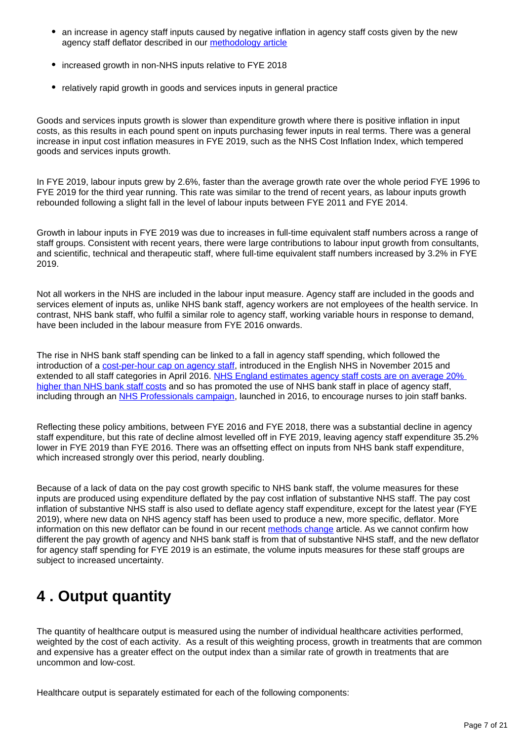- an increase in agency staff inputs caused by negative inflation in agency staff costs given by the new agency staff deflator described in our [methodology article](https://www.ons.gov.uk/economy/economicoutputandproductivity/publicservicesproductivity/methodologies/methodologicaldevelopmentstopublicserviceproductivityhealthcare2021update)
- increased growth in non-NHS inputs relative to FYE 2018
- relatively rapid growth in goods and services inputs in general practice

Goods and services inputs growth is slower than expenditure growth where there is positive inflation in input costs, as this results in each pound spent on inputs purchasing fewer inputs in real terms. There was a general increase in input cost inflation measures in FYE 2019, such as the NHS Cost Inflation Index, which tempered goods and services inputs growth.

In FYE 2019, labour inputs grew by 2.6%, faster than the average growth rate over the whole period FYE 1996 to FYE 2019 for the third year running. This rate was similar to the trend of recent years, as labour inputs growth rebounded following a slight fall in the level of labour inputs between FYE 2011 and FYE 2014.

Growth in labour inputs in FYE 2019 was due to increases in full-time equivalent staff numbers across a range of staff groups. Consistent with recent years, there were large contributions to labour input growth from consultants, and scientific, technical and therapeutic staff, where full-time equivalent staff numbers increased by 3.2% in FYE 2019.

Not all workers in the NHS are included in the labour input measure. Agency staff are included in the goods and services element of inputs as, unlike NHS bank staff, agency workers are not employees of the health service. In contrast, NHS bank staff, who fulfil a similar role to agency staff, working variable hours in response to demand, have been included in the labour measure from FYE 2016 onwards.

The rise in NHS bank staff spending can be linked to a fall in agency staff spending, which followed the introduction of a [cost-per-hour cap on agency staff,](https://improvement.nhs.uk/resources/reducing-expenditure-on-nhs-agency-staff-rules-and-price-caps/) introduced in the English NHS in November 2015 and extended to all staff categories in April 2016. [NHS England estimates agency staff costs are on average 20%](https://www.england.nhs.uk/2018/08/nhs-could-free-480m-limiting-use-temporary-staffing-agencies/)  [higher than NHS bank staff costs](https://www.england.nhs.uk/2018/08/nhs-could-free-480m-limiting-use-temporary-staffing-agencies/) and so has promoted the use of NHS bank staff in place of agency staff, including through an [NHS Professionals campaign,](http://www.nationalhealthexecutive.com/News/new-campaign-urges-nurses-to-join-trust-staff-banks-/132052) launched in 2016, to encourage nurses to join staff banks.

Reflecting these policy ambitions, between FYE 2016 and FYE 2018, there was a substantial decline in agency staff expenditure, but this rate of decline almost levelled off in FYE 2019, leaving agency staff expenditure 35.2% lower in FYE 2019 than FYE 2016. There was an offsetting effect on inputs from NHS bank staff expenditure, which increased strongly over this period, nearly doubling.

Because of a lack of data on the pay cost growth specific to NHS bank staff, the volume measures for these inputs are produced using expenditure deflated by the pay cost inflation of substantive NHS staff. The pay cost inflation of substantive NHS staff is also used to deflate agency staff expenditure, except for the latest year (FYE 2019), where new data on NHS agency staff has been used to produce a new, more specific, deflator. More information on this new deflator can be found in our recent [methods change](https://www.ons.gov.uk/economy/economicoutputandproductivity/publicservicesproductivity/methodologies/methodologicaldevelopmentstopublicserviceproductivityhealthcare2021update) article. As we cannot confirm how different the pay growth of agency and NHS bank staff is from that of substantive NHS staff, and the new deflator for agency staff spending for FYE 2019 is an estimate, the volume inputs measures for these staff groups are subject to increased uncertainty.

# <span id="page-6-0"></span>**4 . Output quantity**

The quantity of healthcare output is measured using the number of individual healthcare activities performed, weighted by the cost of each activity. As a result of this weighting process, growth in treatments that are common and expensive has a greater effect on the output index than a similar rate of growth in treatments that are uncommon and low-cost.

Healthcare output is separately estimated for each of the following components: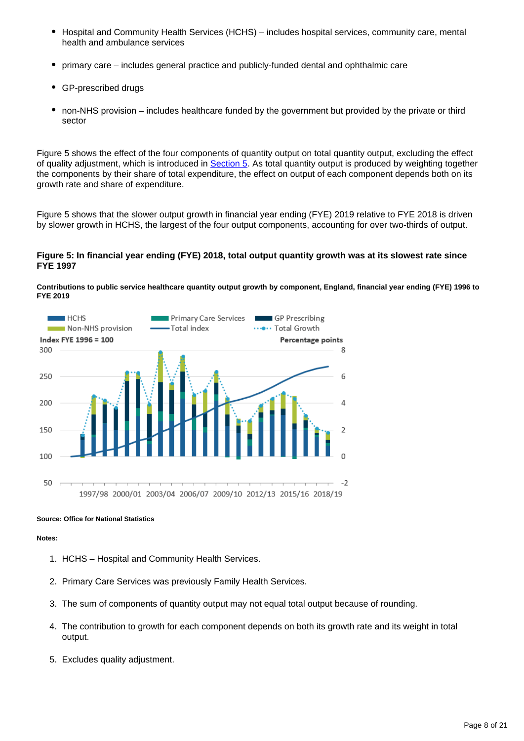- $\bullet$ Hospital and Community Health Services (HCHS) – includes hospital services, community care, mental health and ambulance services
- primary care includes general practice and publicly-funded dental and ophthalmic care
- GP-prescribed drugs
- non-NHS provision includes healthcare funded by the government but provided by the private or third sector

Figure 5 shows the effect of the four components of quantity output on total quantity output, excluding the effect of quality adjustment, which is introduced in [Section 5](https://www.ons.gov.uk/economy/economicoutputandproductivity/publicservicesproductivity/articles/publicservicesproductivityestimateshealthcare/financialyearending2019#output-quality). As total quantity output is produced by weighting together the components by their share of total expenditure, the effect on output of each component depends both on its growth rate and share of expenditure.

Figure 5 shows that the slower output growth in financial year ending (FYE) 2019 relative to FYE 2018 is driven by slower growth in HCHS, the largest of the four output components, accounting for over two-thirds of output.

## **Figure 5: In financial year ending (FYE) 2018, total output quantity growth was at its slowest rate since FYE 1997**





## **Source: Office for National Statistics**

**Notes:**

- 1. HCHS Hospital and Community Health Services.
- 2. Primary Care Services was previously Family Health Services.
- 3. The sum of components of quantity output may not equal total output because of rounding.
- 4. The contribution to growth for each component depends on both its growth rate and its weight in total output.
- 5. Excludes quality adjustment.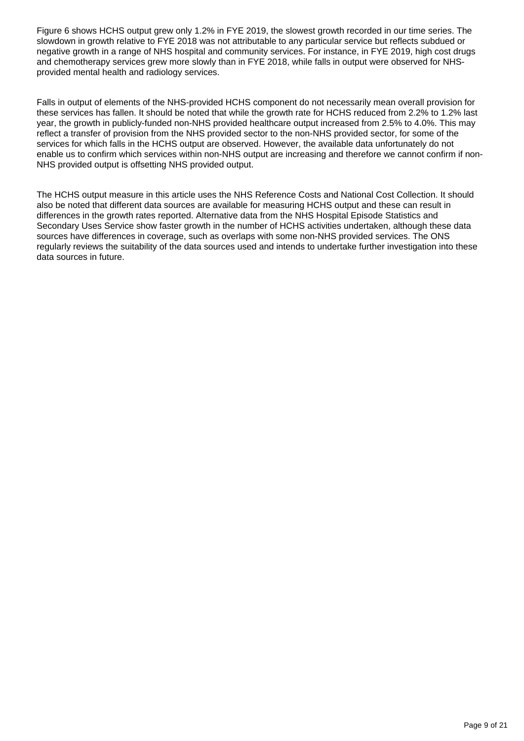Figure 6 shows HCHS output grew only 1.2% in FYE 2019, the slowest growth recorded in our time series. The slowdown in growth relative to FYE 2018 was not attributable to any particular service but reflects subdued or negative growth in a range of NHS hospital and community services. For instance, in FYE 2019, high cost drugs and chemotherapy services grew more slowly than in FYE 2018, while falls in output were observed for NHSprovided mental health and radiology services.

Falls in output of elements of the NHS-provided HCHS component do not necessarily mean overall provision for these services has fallen. It should be noted that while the growth rate for HCHS reduced from 2.2% to 1.2% last year, the growth in publicly-funded non-NHS provided healthcare output increased from 2.5% to 4.0%. This may reflect a transfer of provision from the NHS provided sector to the non-NHS provided sector, for some of the services for which falls in the HCHS output are observed. However, the available data unfortunately do not enable us to confirm which services within non-NHS output are increasing and therefore we cannot confirm if non-NHS provided output is offsetting NHS provided output.

The HCHS output measure in this article uses the NHS Reference Costs and National Cost Collection. It should also be noted that different data sources are available for measuring HCHS output and these can result in differences in the growth rates reported. Alternative data from the NHS Hospital Episode Statistics and Secondary Uses Service show faster growth in the number of HCHS activities undertaken, although these data sources have differences in coverage, such as overlaps with some non-NHS provided services. The ONS regularly reviews the suitability of the data sources used and intends to undertake further investigation into these data sources in future.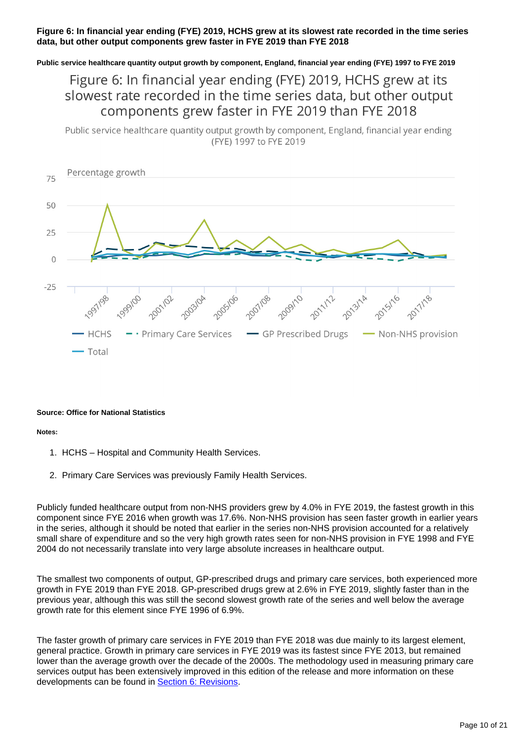## **Figure 6: In financial year ending (FYE) 2019, HCHS grew at its slowest rate recorded in the time series data, but other output components grew faster in FYE 2019 than FYE 2018**

**Public service healthcare quantity output growth by component, England, financial year ending (FYE) 1997 to FYE 2019**

## Figure 6: In financial year ending (FYE) 2019, HCHS grew at its slowest rate recorded in the time series data, but other output components grew faster in FYE 2019 than FYE 2018

Public service healthcare quantity output growth by component, England, financial year ending (FYE) 1997 to FYE 2019



## **Source: Office for National Statistics**

## **Notes:**

- 1. HCHS Hospital and Community Health Services.
- 2. Primary Care Services was previously Family Health Services.

Publicly funded healthcare output from non-NHS providers grew by 4.0% in FYE 2019, the fastest growth in this component since FYE 2016 when growth was 17.6%. Non-NHS provision has seen faster growth in earlier years in the series, although it should be noted that earlier in the series non-NHS provision accounted for a relatively small share of expenditure and so the very high growth rates seen for non-NHS provision in FYE 1998 and FYE 2004 do not necessarily translate into very large absolute increases in healthcare output.

The smallest two components of output, GP-prescribed drugs and primary care services, both experienced more growth in FYE 2019 than FYE 2018. GP-prescribed drugs grew at 2.6% in FYE 2019, slightly faster than in the previous year, although this was still the second slowest growth rate of the series and well below the average growth rate for this element since FYE 1996 of 6.9%.

The faster growth of primary care services in FYE 2019 than FYE 2018 was due mainly to its largest element, general practice. Growth in primary care services in FYE 2019 was its fastest since FYE 2013, but remained lower than the average growth over the decade of the 2000s. The methodology used in measuring primary care services output has been extensively improved in this edition of the release and more information on these developments can be found in [Section 6: Revisions](https://www.ons.gov.uk/economy/economicoutputandproductivity/publicservicesproductivity/articles/publicservicesproductivityestimateshealthcare/financialyearending2019#revisions).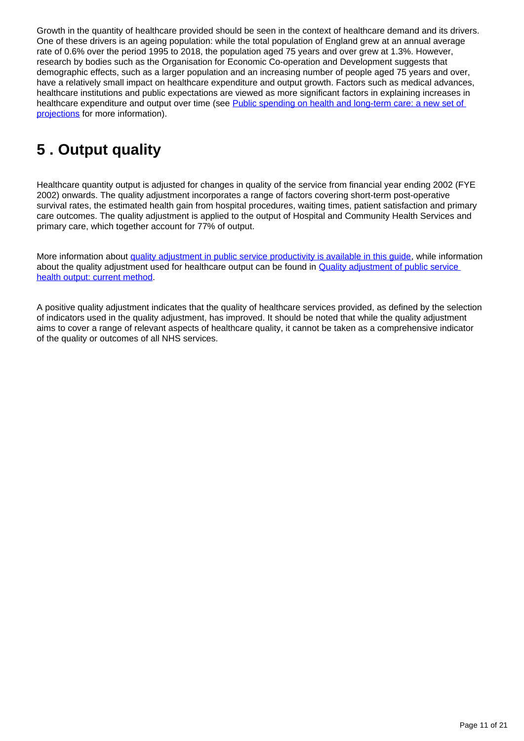Growth in the quantity of healthcare provided should be seen in the context of healthcare demand and its drivers. One of these drivers is an ageing population: while the total population of England grew at an annual average rate of 0.6% over the period 1995 to 2018, the population aged 75 years and over grew at 1.3%. However, research by bodies such as the Organisation for Economic Co-operation and Development suggests that demographic effects, such as a larger population and an increasing number of people aged 75 years and over, have a relatively small impact on healthcare expenditure and output growth. Factors such as medical advances, healthcare institutions and public expectations are viewed as more significant factors in explaining increases in healthcare expenditure and output over time (see Public spending on health and long-term care: a new set of [projections](http://www.oecd-ilibrary.org/economics/public-spending-on-health-and-long-term-care_5k44t7jwwr9x-en) for more information).

# <span id="page-10-0"></span>**5 . Output quality**

Healthcare quantity output is adjusted for changes in quality of the service from financial year ending 2002 (FYE 2002) onwards. The quality adjustment incorporates a range of factors covering short-term post-operative survival rates, the estimated health gain from hospital procedures, waiting times, patient satisfaction and primary care outcomes. The quality adjustment is applied to the output of Hospital and Community Health Services and primary care, which together account for 77% of output.

More information about quality adjustment in public service productivity is available in this quide, while information about the quality adjustment used for healthcare output can be found in [Quality adjustment of public service](https://webarchive.nationalarchives.gov.uk/20160106223636/http:/www.ons.gov.uk/ons/guide-method/method-quality/specific/public-sector-methodology/articles/quality-adjustment-of-public-service-health-output--current-method.pdf)  [health output: current method.](https://webarchive.nationalarchives.gov.uk/20160106223636/http:/www.ons.gov.uk/ons/guide-method/method-quality/specific/public-sector-methodology/articles/quality-adjustment-of-public-service-health-output--current-method.pdf)

A positive quality adjustment indicates that the quality of healthcare services provided, as defined by the selection of indicators used in the quality adjustment, has improved. It should be noted that while the quality adjustment aims to cover a range of relevant aspects of healthcare quality, it cannot be taken as a comprehensive indicator of the quality or outcomes of all NHS services.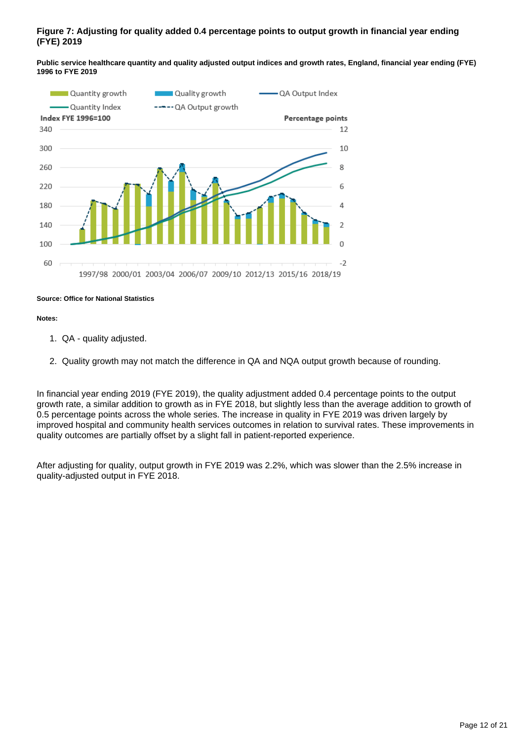## **Figure 7: Adjusting for quality added 0.4 percentage points to output growth in financial year ending (FYE) 2019**

**Public service healthcare quantity and quality adjusted output indices and growth rates, England, financial year ending (FYE) 1996 to FYE 2019**



## **Source: Office for National Statistics**

## **Notes:**

- 1. QA quality adjusted.
- 2. Quality growth may not match the difference in QA and NQA output growth because of rounding.

In financial year ending 2019 (FYE 2019), the quality adjustment added 0.4 percentage points to the output growth rate, a similar addition to growth as in FYE 2018, but slightly less than the average addition to growth of 0.5 percentage points across the whole series. The increase in quality in FYE 2019 was driven largely by improved hospital and community health services outcomes in relation to survival rates. These improvements in quality outcomes are partially offset by a slight fall in patient-reported experience.

After adjusting for quality, output growth in FYE 2019 was 2.2%, which was slower than the 2.5% increase in quality-adjusted output in FYE 2018.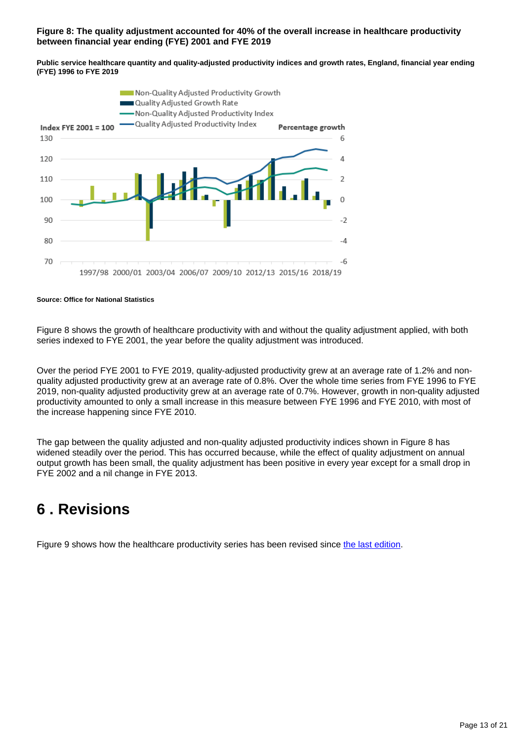## **Figure 8: The quality adjustment accounted for 40% of the overall increase in healthcare productivity between financial year ending (FYE) 2001 and FYE 2019**

**Public service healthcare quantity and quality-adjusted productivity indices and growth rates, England, financial year ending (FYE) 1996 to FYE 2019**



**Source: Office for National Statistics**

Figure 8 shows the growth of healthcare productivity with and without the quality adjustment applied, with both series indexed to FYE 2001, the year before the quality adjustment was introduced.

Over the period FYE 2001 to FYE 2019, quality-adjusted productivity grew at an average rate of 1.2% and nonquality adjusted productivity grew at an average rate of 0.8%. Over the whole time series from FYE 1996 to FYE 2019, non-quality adjusted productivity grew at an average rate of 0.7%. However, growth in non-quality adjusted productivity amounted to only a small increase in this measure between FYE 1996 and FYE 2010, with most of the increase happening since FYE 2010.

The gap between the quality adjusted and non-quality adjusted productivity indices shown in Figure 8 has widened steadily over the period. This has occurred because, while the effect of quality adjustment on annual output growth has been small, the quality adjustment has been positive in every year except for a small drop in FYE 2002 and a nil change in FYE 2013.

# <span id="page-12-0"></span>**6 . Revisions**

Figure 9 shows how the healthcare productivity series has been revised since [the last edition](https://www.ons.gov.uk/economy/economicoutputandproductivity/publicservicesproductivity/articles/publicservicesproductivityestimateshealthcare/financialyearending2018).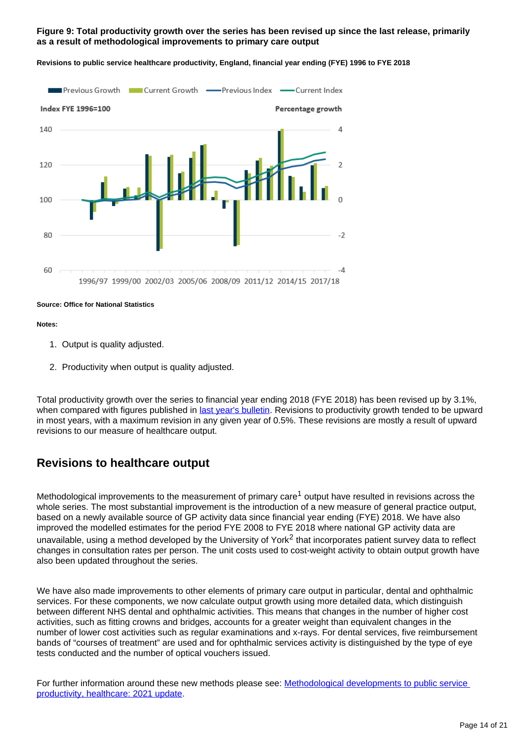## **Figure 9: Total productivity growth over the series has been revised up since the last release, primarily as a result of methodological improvements to primary care output**



**Revisions to public service healthcare productivity, England, financial year ending (FYE) 1996 to FYE 2018**

## **Source: Office for National Statistics**

## **Notes:**

- 1. Output is quality adjusted.
- 2. Productivity when output is quality adjusted.

Total productivity growth over the series to financial year ending 2018 (FYE 2018) has been revised up by 3.1%, when compared with figures published in [last year's bulletin.](https://www.ons.gov.uk/economy/economicoutputandproductivity/publicservicesproductivity/articles/publicservicesproductivityestimateshealthcare/financialyearending2018) Revisions to productivity growth tended to be upward in most years, with a maximum revision in any given year of 0.5%. These revisions are mostly a result of upward revisions to our measure of healthcare output.

## **Revisions to healthcare output**

Methodological improvements to the measurement of primary care<sup>1</sup> output have resulted in revisions across the whole series. The most substantial improvement is the introduction of a new measure of general practice output, based on a newly available source of GP activity data since financial year ending (FYE) 2018. We have also improved the modelled estimates for the period FYE 2008 to FYE 2018 where national GP activity data are unavailable, using a method developed by the University of York<sup>2</sup> that incorporates patient survey data to reflect changes in consultation rates per person. The unit costs used to cost-weight activity to obtain output growth have also been updated throughout the series.

We have also made improvements to other elements of primary care output in particular, dental and ophthalmic services. For these components, we now calculate output growth using more detailed data, which distinguish between different NHS dental and ophthalmic activities. This means that changes in the number of higher cost activities, such as fitting crowns and bridges, accounts for a greater weight than equivalent changes in the number of lower cost activities such as regular examinations and x-rays. For dental services, five reimbursement bands of "courses of treatment" are used and for ophthalmic services activity is distinguished by the type of eye tests conducted and the number of optical vouchers issued.

For further information around these new methods please see: Methodological developments to public service [productivity, healthcare: 2021 update](https://www.ons.gov.uk/economy/economicoutputandproductivity/publicservicesproductivity/methodologies/methodologicaldevelopmentstopublicserviceproductivityhealthcare2021update).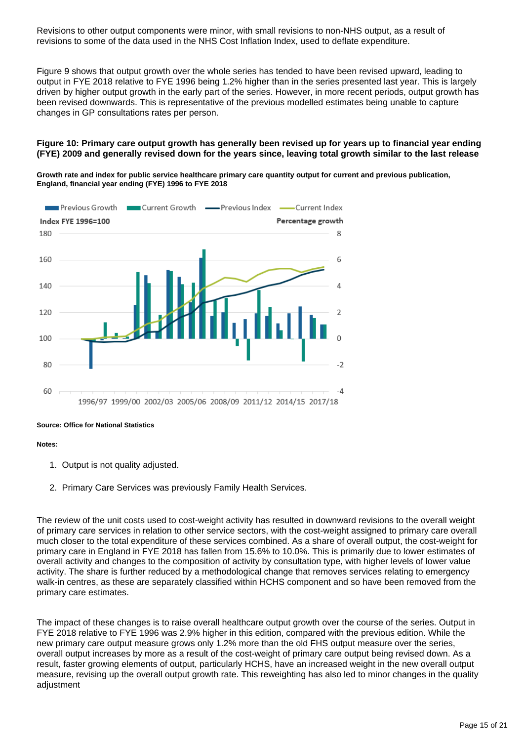Revisions to other output components were minor, with small revisions to non-NHS output, as a result of revisions to some of the data used in the NHS Cost Inflation Index, used to deflate expenditure.

Figure 9 shows that output growth over the whole series has tended to have been revised upward, leading to output in FYE 2018 relative to FYE 1996 being 1.2% higher than in the series presented last year. This is largely driven by higher output growth in the early part of the series. However, in more recent periods, output growth has been revised downwards. This is representative of the previous modelled estimates being unable to capture changes in GP consultations rates per person.

## **Figure 10: Primary care output growth has generally been revised up for years up to financial year ending (FYE) 2009 and generally revised down for the years since, leaving total growth similar to the last release**

**Growth rate and index for public service healthcare primary care quantity output for current and previous publication, England, financial year ending (FYE) 1996 to FYE 2018**



## **Source: Office for National Statistics**

## **Notes:**

- 1. Output is not quality adjusted.
- 2. Primary Care Services was previously Family Health Services.

The review of the unit costs used to cost-weight activity has resulted in downward revisions to the overall weight of primary care services in relation to other service sectors, with the cost-weight assigned to primary care overall much closer to the total expenditure of these services combined. As a share of overall output, the cost-weight for primary care in England in FYE 2018 has fallen from 15.6% to 10.0%. This is primarily due to lower estimates of overall activity and changes to the composition of activity by consultation type, with higher levels of lower value activity. The share is further reduced by a methodological change that removes services relating to emergency walk-in centres, as these are separately classified within HCHS component and so have been removed from the primary care estimates.

The impact of these changes is to raise overall healthcare output growth over the course of the series. Output in FYE 2018 relative to FYE 1996 was 2.9% higher in this edition, compared with the previous edition. While the new primary care output measure grows only 1.2% more than the old FHS output measure over the series, overall output increases by more as a result of the cost-weight of primary care output being revised down. As a result, faster growing elements of output, particularly HCHS, have an increased weight in the new overall output measure, revising up the overall output growth rate. This reweighting has also led to minor changes in the quality adjustment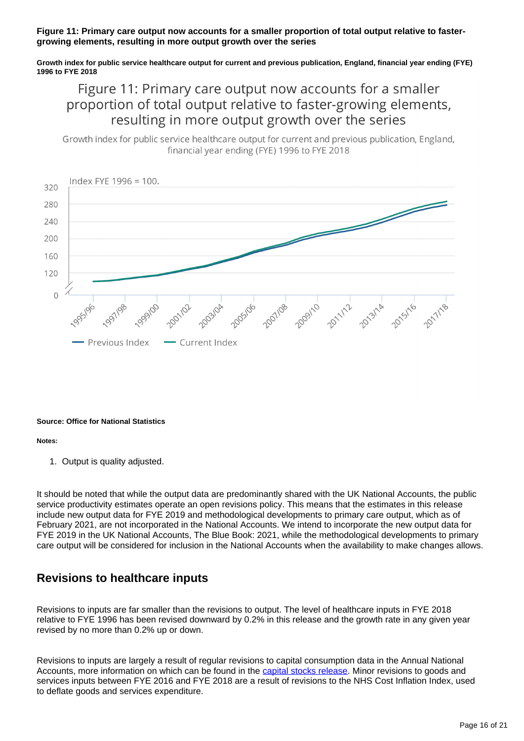## **Figure 11: Primary care output now accounts for a smaller proportion of total output relative to fastergrowing elements, resulting in more output growth over the series**

**Growth index for public service healthcare output for current and previous publication, England, financial year ending (FYE) 1996 to FYE 2018**

## Figure 11: Primary care output now accounts for a smaller proportion of total output relative to faster-growing elements, resulting in more output growth over the series

Growth index for public service healthcare output for current and previous publication, England, financial vear ending (FYE) 1996 to FYE 2018



## **Source: Office for National Statistics**

## **Notes:**

1. Output is quality adjusted.

It should be noted that while the output data are predominantly shared with the UK National Accounts, the public service productivity estimates operate an open revisions policy. This means that the estimates in this release include new output data for FYE 2019 and methodological developments to primary care output, which as of February 2021, are not incorporated in the National Accounts. We intend to incorporate the new output data for FYE 2019 in the UK National Accounts, The Blue Book: 2021, while the methodological developments to primary care output will be considered for inclusion in the National Accounts when the availability to make changes allows.

## **Revisions to healthcare inputs**

Revisions to inputs are far smaller than the revisions to output. The level of healthcare inputs in FYE 2018 relative to FYE 1996 has been revised downward by 0.2% in this release and the growth rate in any given year revised by no more than 0.2% up or down.

Revisions to inputs are largely a result of regular revisions to capital consumption data in the Annual National Accounts, more information on which can be found in the [capital stocks release](https://www.ons.gov.uk/economy/nationalaccounts/uksectoraccounts/bulletins/capitalstocksconsumptionoffixedcapital/2020). Minor revisions to goods and services inputs between FYE 2016 and FYE 2018 are a result of revisions to the NHS Cost Inflation Index, used to deflate goods and services expenditure.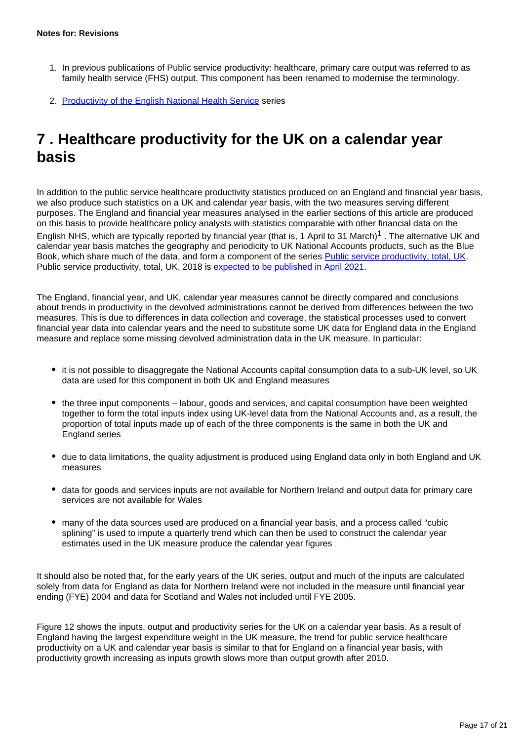- 1. In previous publications of Public service productivity: healthcare, primary care output was referred to as family health service (FHS) output. This component has been renamed to modernise the terminology.
- 2. [Productivity of the English National Health Service](https://www.york.ac.uk/media/che/documents/papers/researchpapers/CHERP171_NHS_productivity_update2017_18.pdf) series

# <span id="page-16-0"></span>**7 . Healthcare productivity for the UK on a calendar year basis**

In addition to the public service healthcare productivity statistics produced on an England and financial year basis, we also produce such statistics on a UK and calendar year basis, with the two measures serving different purposes. The England and financial year measures analysed in the earlier sections of this article are produced on this basis to provide healthcare policy analysts with statistics comparable with other financial data on the English NHS, which are typically reported by financial year (that is, 1 April to 31 March)<sup>1</sup>. The alternative UK and calendar year basis matches the geography and periodicity to UK National Accounts products, such as the Blue Book, which share much of the data, and form a component of the series [Public service productivity, total, UK](https://www.ons.gov.uk/economy/economicoutputandproductivity/publicservicesproductivity/articles/publicservicesproductivityestimatestotalpublicservices/totaluk2017). Public service productivity, total, UK, 2018 is [expected to be published in April 2021](https://www.ons.gov.uk/releases/ukproductivityoctobertodecember2020).

The England, financial year, and UK, calendar year measures cannot be directly compared and conclusions about trends in productivity in the devolved administrations cannot be derived from differences between the two measures. This is due to differences in data collection and coverage, the statistical processes used to convert financial year data into calendar years and the need to substitute some UK data for England data in the England measure and replace some missing devolved administration data in the UK measure. In particular:

- it is not possible to disaggregate the National Accounts capital consumption data to a sub-UK level, so UK data are used for this component in both UK and England measures
- the three input components labour, goods and services, and capital consumption have been weighted together to form the total inputs index using UK-level data from the National Accounts and, as a result, the proportion of total inputs made up of each of the three components is the same in both the UK and England series
- due to data limitations, the quality adjustment is produced using England data only in both England and UK measures
- data for goods and services inputs are not available for Northern Ireland and output data for primary care services are not available for Wales
- many of the data sources used are produced on a financial year basis, and a process called "cubic splining" is used to impute a quarterly trend which can then be used to construct the calendar year estimates used in the UK measure produce the calendar year figures

It should also be noted that, for the early years of the UK series, output and much of the inputs are calculated solely from data for England as data for Northern Ireland were not included in the measure until financial year ending (FYE) 2004 and data for Scotland and Wales not included until FYE 2005.

Figure 12 shows the inputs, output and productivity series for the UK on a calendar year basis. As a result of England having the largest expenditure weight in the UK measure, the trend for public service healthcare productivity on a UK and calendar year basis is similar to that for England on a financial year basis, with productivity growth increasing as inputs growth slows more than output growth after 2010.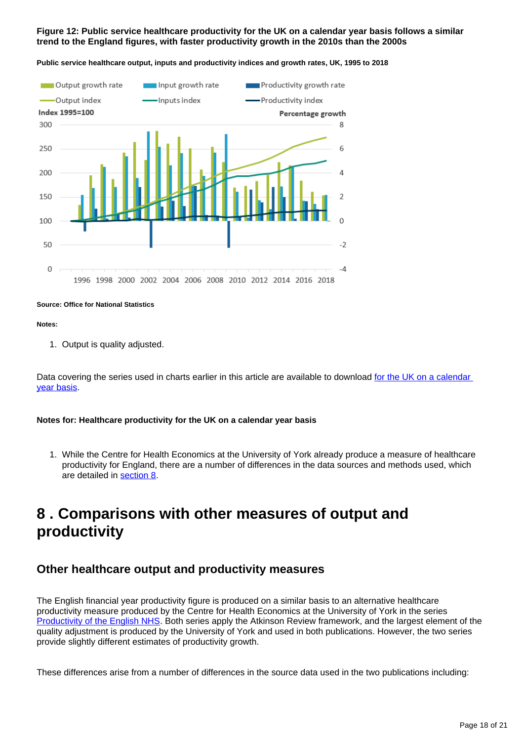## **Figure 12: Public service healthcare productivity for the UK on a calendar year basis follows a similar trend to the England figures, with faster productivity growth in the 2010s than the 2000s**



**Public service healthcare output, inputs and productivity indices and growth rates, UK, 1995 to 2018**

**Source: Office for National Statistics**

## **Notes:**

1. Output is quality adjusted.

Data covering the series used in charts earlier in this article are available to download for the UK on a calendar [year basis.](https://www.ons.gov.uk/economy/economicoutputandproductivity/publicservicesproductivity/articles/publicservicesproductivityestimateshealthcare/financialyearending2019#public-service-healthcare-productivity-data)

## **Notes for: Healthcare productivity for the UK on a calendar year basis**

1. While the Centre for Health Economics at the University of York already produce a measure of healthcare productivity for England, there are a number of differences in the data sources and methods used, which are detailed in [section 8](https://www.ons.gov.uk/economy/economicoutputandproductivity/publicservicesproductivity/articles/publicservicesproductivityestimateshealthcare/financialyearending2019#comparisons-with-other-measures-of-output-and-productivity).

# <span id="page-17-0"></span>**8 . Comparisons with other measures of output and productivity**

## **Other healthcare output and productivity measures**

The English financial year productivity figure is produced on a similar basis to an alternative healthcare productivity measure produced by the Centre for Health Economics at the University of York in the series [Productivity of the English NHS.](https://www.york.ac.uk/media/che/documents/papers/researchpapers/CHERP171_NHS_productivity_update2017_18.pdf) Both series apply the Atkinson Review framework, and the largest element of the quality adjustment is produced by the University of York and used in both publications. However, the two series provide slightly different estimates of productivity growth.

These differences arise from a number of differences in the source data used in the two publications including: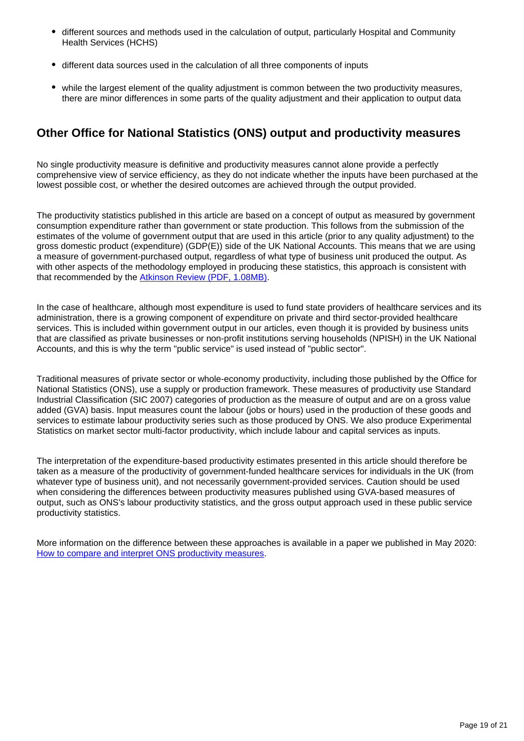- different sources and methods used in the calculation of output, particularly Hospital and Community Health Services (HCHS)
- different data sources used in the calculation of all three components of inputs
- while the largest element of the quality adjustment is common between the two productivity measures, there are minor differences in some parts of the quality adjustment and their application to output data

## **Other Office for National Statistics (ONS) output and productivity measures**

No single productivity measure is definitive and productivity measures cannot alone provide a perfectly comprehensive view of service efficiency, as they do not indicate whether the inputs have been purchased at the lowest possible cost, or whether the desired outcomes are achieved through the output provided.

The productivity statistics published in this article are based on a concept of output as measured by government consumption expenditure rather than government or state production. This follows from the submission of the estimates of the volume of government output that are used in this article (prior to any quality adjustment) to the gross domestic product (expenditure) (GDP(E)) side of the UK National Accounts. This means that we are using a measure of government-purchased output, regardless of what type of business unit produced the output. As with other aspects of the methodology employed in producing these statistics, this approach is consistent with that recommended by the [Atkinson Review \(PDF, 1.08MB\).](http://www.ons.gov.uk/ons/guide-method/method-quality/specific/public-sector-methodology/articles/atkinson-review-final-report.pdf)

In the case of healthcare, although most expenditure is used to fund state providers of healthcare services and its administration, there is a growing component of expenditure on private and third sector-provided healthcare services. This is included within government output in our articles, even though it is provided by business units that are classified as private businesses or non-profit institutions serving households (NPISH) in the UK National Accounts, and this is why the term "public service" is used instead of "public sector".

Traditional measures of private sector or whole-economy productivity, including those published by the Office for National Statistics (ONS), use a supply or production framework. These measures of productivity use Standard Industrial Classification (SIC 2007) categories of production as the measure of output and are on a gross value added (GVA) basis. Input measures count the labour (jobs or hours) used in the production of these goods and services to estimate labour productivity series such as those produced by ONS. We also produce Experimental Statistics on market sector multi-factor productivity, which include labour and capital services as inputs.

The interpretation of the expenditure-based productivity estimates presented in this article should therefore be taken as a measure of the productivity of government-funded healthcare services for individuals in the UK (from whatever type of business unit), and not necessarily government-provided services. Caution should be used when considering the differences between productivity measures published using GVA-based measures of output, such as ONS's labour productivity statistics, and the gross output approach used in these public service productivity statistics.

More information on the difference between these approaches is available in a paper we published in May 2020: [How to compare and interpret ONS productivity measures](https://www.ons.gov.uk/economy/economicoutputandproductivity/publicservicesproductivity/methodologies/howtocompareandinterpretonsproductivitymeasures).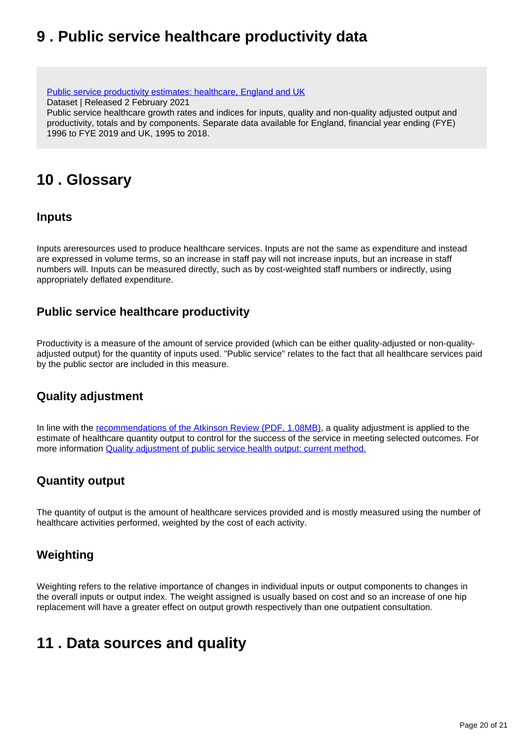# <span id="page-19-0"></span>**9 . Public service healthcare productivity data**

[Public service productivity estimates: healthcare, England and UK](https://www.ons.gov.uk/economy/economicoutputandproductivity/publicservicesproductivity/datasets/publicserviceproductivityestimateshealthcareukandengland) Dataset | Released 2 February 2021 Public service healthcare growth rates and indices for inputs, quality and non-quality adjusted output and productivity, totals and by components. Separate data available for England, financial year ending (FYE) 1996 to FYE 2019 and UK, 1995 to 2018.

# <span id="page-19-1"></span>**10 . Glossary**

## **Inputs**

Inputs areresources used to produce healthcare services. Inputs are not the same as expenditure and instead are expressed in volume terms, so an increase in staff pay will not increase inputs, but an increase in staff numbers will. Inputs can be measured directly, such as by cost-weighted staff numbers or indirectly, using appropriately deflated expenditure.

## **Public service healthcare productivity**

Productivity is a measure of the amount of service provided (which can be either quality-adjusted or non-qualityadjusted output) for the quantity of inputs used. "Public service" relates to the fact that all healthcare services paid by the public sector are included in this measure.

## **Quality adjustment**

In line with the [recommendations of the Atkinson Review \(PDF, 1.08MB\),](http://www.ons.gov.uk/ons/guide-method/method-quality/specific/public-sector-methodology/articles/atkinson-review-final-report.pdf) a quality adjustment is applied to the estimate of healthcare quantity output to control for the success of the service in meeting selected outcomes. For more information [Quality adjustment of public service health output: current method.](https://webarchive.nationalarchives.gov.uk/20160106223636/http:/www.ons.gov.uk/ons/guide-method/method-quality/specific/public-sector-methodology/articles/quality-adjustment-of-public-service-health-output--current-method.pdf)

## **Quantity output**

The quantity of output is the amount of healthcare services provided and is mostly measured using the number of healthcare activities performed, weighted by the cost of each activity.

## **Weighting**

Weighting refers to the relative importance of changes in individual inputs or output components to changes in the overall inputs or output index. The weight assigned is usually based on cost and so an increase of one hip replacement will have a greater effect on output growth respectively than one outpatient consultation.

# <span id="page-19-2"></span>**11 . Data sources and quality**